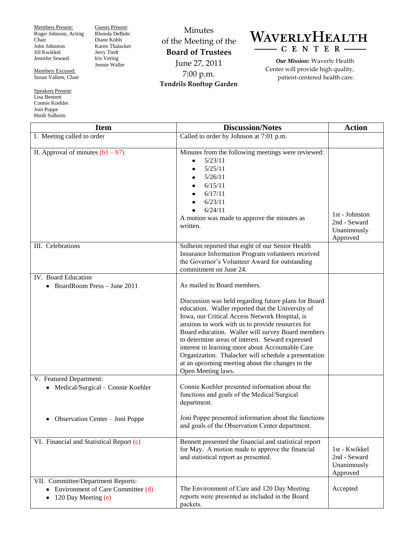Members Present: Roger Johnson, Acting Chair John Johnston Jill Kwikkel Jennifer Seward

Guests Present: Rhonda DeBuhr Diane Kohls Karen Thalacker Jerry Tiedt Iris Vering Jennie Waller

Members Excused: Susan Vallem, Chair

Speakers Present: Lisa Bennett Connie Koehler Joni Poppe Heidi Solheim

L

Minutes of the Meeting of the **Board of Trustees** June 27, 2011 7:00 p.m. **Tendrils Rooftop Garden**



*Our Mission:* Waverly Health Center will provide high quality, patient-centered health care.

| <b>Item</b>                                                                                                          | <b>Discussion/Notes</b>                                                                                                                                                                                                                                                                                                                                                                                                                                                                                                                                                                                                                                      | <b>Action</b>                                             |
|----------------------------------------------------------------------------------------------------------------------|--------------------------------------------------------------------------------------------------------------------------------------------------------------------------------------------------------------------------------------------------------------------------------------------------------------------------------------------------------------------------------------------------------------------------------------------------------------------------------------------------------------------------------------------------------------------------------------------------------------------------------------------------------------|-----------------------------------------------------------|
| I. Meeting called to order                                                                                           | Called to order by Johnson at 7:01 p.m.                                                                                                                                                                                                                                                                                                                                                                                                                                                                                                                                                                                                                      |                                                           |
| II. Approval of minutes $(b1 - b7)$                                                                                  | Minutes from the following meetings were reviewed:<br>5/23/11<br>٠<br>5/25/11<br>5/26/11<br>6/15/11<br>6/17/11<br>6/23/11<br>6/24/11<br>A motion was made to approve the minutes as<br>written.                                                                                                                                                                                                                                                                                                                                                                                                                                                              | 1st - Johnston<br>2nd - Seward<br>Unanimously<br>Approved |
| III. Celebrations                                                                                                    | Solheim reported that eight of our Senior Health<br>Insurance Information Program volunteers received<br>the Governor's Volunteer Award for outstanding<br>commitment on June 24.                                                                                                                                                                                                                                                                                                                                                                                                                                                                            |                                                           |
| IV. Board Education<br>BoardRoom Press - June 2011<br>V. Featured Department:<br>• Medical/Surgical – Connie Koehler | As mailed to Board members.<br>Discussion was held regarding future plans for Board<br>education. Waller reported that the University of<br>Iowa, our Critical Access Network Hospital, is<br>anxious to work with us to provide resources for<br>Board education. Waller will survey Board members<br>to determine areas of interest. Seward expressed<br>interest in learning more about Accountable Care<br>Organization. Thalacker will schedule a presentation<br>at an upcoming meeting about the changes to the<br>Open Meeting laws.<br>Connie Koehler presented information about the<br>functions and goals of the Medical/Surgical<br>department. |                                                           |
| Observation Center - Joni Poppe                                                                                      | Joni Poppe presented information about the functions<br>and goals of the Observation Center department.                                                                                                                                                                                                                                                                                                                                                                                                                                                                                                                                                      |                                                           |
| VI. Financial and Statistical Report (c)                                                                             | Bennett presented the financial and statistical report<br>for May. A motion made to approve the financial<br>and statistical report as presented.                                                                                                                                                                                                                                                                                                                                                                                                                                                                                                            | 1st - Kwikkel<br>2nd - Seward<br>Unanimously<br>Approved  |
| VII. Committee/Department Reports:<br>Environment of Care Committee (d)<br>120 Day Meeting (e)                       | The Environment of Care and 120 Day Meeting<br>reports were presented as included in the Board<br>packets.                                                                                                                                                                                                                                                                                                                                                                                                                                                                                                                                                   | Accepted                                                  |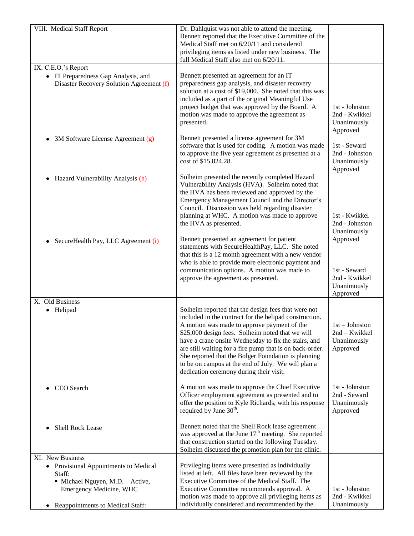| VIII. Medical Staff Report                                  | Dr. Dahlquist was not able to attend the meeting.                                                            |                               |
|-------------------------------------------------------------|--------------------------------------------------------------------------------------------------------------|-------------------------------|
|                                                             | Bennett reported that the Executive Committee of the                                                         |                               |
|                                                             | Medical Staff met on 6/20/11 and considered<br>privileging items as listed under new business. The           |                               |
|                                                             | full Medical Staff also met on 6/20/11.                                                                      |                               |
| IX. C.E.O.'s Report                                         |                                                                                                              |                               |
| • IT Preparedness Gap Analysis, and                         | Bennett presented an agreement for an IT                                                                     |                               |
| Disaster Recovery Solution Agreement (f)                    | preparedness gap analysis, and disaster recovery                                                             |                               |
|                                                             | solution at a cost of \$19,000. She noted that this was<br>included as a part of the original Meaningful Use |                               |
|                                                             | project budget that was approved by the Board. A                                                             | 1st - Johnston                |
|                                                             | motion was made to approve the agreement as                                                                  | 2nd - Kwikkel                 |
|                                                             | presented.                                                                                                   | Unanimously                   |
|                                                             |                                                                                                              | Approved                      |
| 3M Software License Agreement (g)<br>$\bullet$              | Bennett presented a license agreement for 3M<br>software that is used for coding. A motion was made          | 1st - Seward                  |
|                                                             | to approve the five year agreement as presented at a                                                         | 2nd - Johnston                |
|                                                             | cost of \$15,824.28.                                                                                         | Unanimously                   |
|                                                             |                                                                                                              | Approved                      |
| Hazard Vulnerability Analysis (h)                           | Solheim presented the recently completed Hazard                                                              |                               |
|                                                             | Vulnerability Analysis (HVA). Solheim noted that<br>the HVA has been reviewed and approved by the            |                               |
|                                                             | Emergency Management Council and the Director's                                                              |                               |
|                                                             | Council. Discussion was held regarding disaster                                                              |                               |
|                                                             | planning at WHC. A motion was made to approve                                                                | 1st - Kwikkel                 |
|                                                             | the HVA as presented.                                                                                        | 2nd - Johnston                |
|                                                             | Bennett presented an agreement for patient                                                                   | Unanimously<br>Approved       |
| SecureHealth Pay, LLC Agreement (i)<br>$\bullet$            | statements with SecureHealthPay, LLC. She noted                                                              |                               |
|                                                             | that this is a 12 month agreement with a new vendor                                                          |                               |
|                                                             | who is able to provide more electronic payment and                                                           |                               |
|                                                             | communication options. A motion was made to                                                                  | 1st - Seward<br>2nd - Kwikkel |
|                                                             | approve the agreement as presented.                                                                          | Unanimously                   |
|                                                             |                                                                                                              | Approved                      |
| X. Old Business                                             |                                                                                                              |                               |
| • Helipad                                                   | Solheim reported that the design fees that were not                                                          |                               |
|                                                             | included in the contract for the helipad construction.<br>A motion was made to approve payment of the        | $1st - Johnston$              |
|                                                             | \$25,000 design fees. Solheim noted that we will                                                             | 2nd - Kwikkel                 |
|                                                             | have a crane onsite Wednesday to fix the stairs, and                                                         | Unanimously                   |
|                                                             | are still waiting for a fire pump that is on back-order.                                                     | Approved                      |
|                                                             | She reported that the Bolger Foundation is planning<br>to be on campus at the end of July. We will plan a    |                               |
|                                                             | dedication ceremony during their visit.                                                                      |                               |
|                                                             |                                                                                                              |                               |
| CEO Search                                                  | A motion was made to approve the Chief Executive                                                             | 1st - Johnston                |
|                                                             | Officer employment agreement as presented and to<br>offer the position to Kyle Richards, with his response   | 2nd - Seward<br>Unanimously   |
|                                                             | required by June 30 <sup>th</sup> .                                                                          | Approved                      |
|                                                             |                                                                                                              |                               |
| Shell Rock Lease                                            | Bennett noted that the Shell Rock lease agreement                                                            |                               |
|                                                             | was approved at the June $17th$ meeting. She reported<br>that construction started on the following Tuesday. |                               |
|                                                             | Solheim discussed the promotion plan for the clinic.                                                         |                               |
| XI. New Business                                            |                                                                                                              |                               |
| • Provisional Appointments to Medical                       | Privileging items were presented as individually                                                             |                               |
| Staff:                                                      | listed at left. All files have been reviewed by the                                                          |                               |
| • Michael Nguyen, M.D. - Active,<br>Emergency Medicine, WHC | Executive Committee of the Medical Staff. The<br>Executive Committee recommends approval. A                  | 1st - Johnston                |
|                                                             | motion was made to approve all privileging items as                                                          | 2nd - Kwikkel                 |
| Reappointments to Medical Staff:                            | individually considered and recommended by the                                                               | Unanimously                   |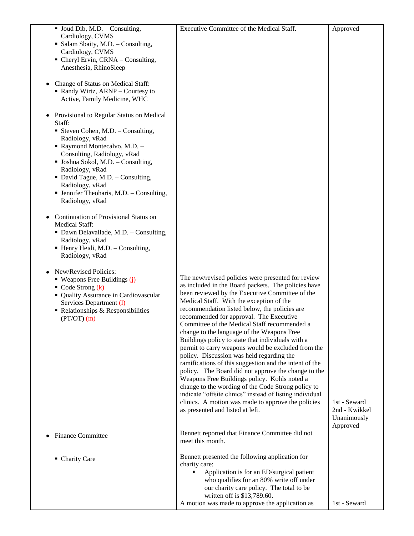| $\blacksquare$ Joud Dib, M.D. - Consulting,                      | Executive Committee of the Medical Staff.                                                                 | Approved                      |
|------------------------------------------------------------------|-----------------------------------------------------------------------------------------------------------|-------------------------------|
| Cardiology, CVMS                                                 |                                                                                                           |                               |
| • Salam Sbaity, M.D. - Consulting,                               |                                                                                                           |                               |
| Cardiology, CVMS                                                 |                                                                                                           |                               |
| • Cheryl Ervin, CRNA – Consulting,<br>Anesthesia, RhinoSleep     |                                                                                                           |                               |
|                                                                  |                                                                                                           |                               |
| Change of Status on Medical Staff:                               |                                                                                                           |                               |
| Randy Wirtz, ARNP - Courtesy to                                  |                                                                                                           |                               |
| Active, Family Medicine, WHC                                     |                                                                                                           |                               |
|                                                                  |                                                                                                           |                               |
| Provisional to Regular Status on Medical<br>Staff:               |                                                                                                           |                               |
| Steven Cohen, M.D. - Consulting,                                 |                                                                                                           |                               |
| Radiology, vRad                                                  |                                                                                                           |                               |
| Raymond Montecalvo, M.D. -                                       |                                                                                                           |                               |
| Consulting, Radiology, vRad                                      |                                                                                                           |                               |
| • Joshua Sokol, M.D. - Consulting,                               |                                                                                                           |                               |
| Radiology, vRad                                                  |                                                                                                           |                               |
| • David Tague, M.D. - Consulting,<br>Radiology, vRad             |                                                                                                           |                               |
| • Jennifer Theoharis, M.D. - Consulting,                         |                                                                                                           |                               |
| Radiology, vRad                                                  |                                                                                                           |                               |
|                                                                  |                                                                                                           |                               |
| Continuation of Provisional Status on                            |                                                                                                           |                               |
| <b>Medical Staff:</b>                                            |                                                                                                           |                               |
| • Dawn Delavallade, M.D. - Consulting,                           |                                                                                                           |                               |
| Radiology, vRad<br>• Henry Heidi, M.D. - Consulting,             |                                                                                                           |                               |
| Radiology, vRad                                                  |                                                                                                           |                               |
|                                                                  |                                                                                                           |                               |
| New/Revised Policies:                                            |                                                                                                           |                               |
| • Weapons Free Buildings (j)                                     | The new/revised policies were presented for review<br>as included in the Board packets. The policies have |                               |
| Code Strong $(k)$                                                | been reviewed by the Executive Committee of the                                                           |                               |
| • Quality Assurance in Cardiovascular<br>Services Department (1) | Medical Staff. With the exception of the                                                                  |                               |
| Relationships & Responsibilities                                 | recommendation listed below, the policies are                                                             |                               |
| $(PT/OT)$ $(m)$                                                  | recommended for approval. The Executive                                                                   |                               |
|                                                                  | Committee of the Medical Staff recommended a                                                              |                               |
|                                                                  | change to the language of the Weapons Free                                                                |                               |
|                                                                  | Buildings policy to state that individuals with a<br>permit to carry weapons would be excluded from the   |                               |
|                                                                  | policy. Discussion was held regarding the                                                                 |                               |
|                                                                  | ramifications of this suggestion and the intent of the                                                    |                               |
|                                                                  | policy. The Board did not approve the change to the                                                       |                               |
|                                                                  | Weapons Free Buildings policy. Kohls noted a                                                              |                               |
|                                                                  | change to the wording of the Code Strong policy to                                                        |                               |
|                                                                  | indicate "offsite clinics" instead of listing individual                                                  |                               |
|                                                                  | clinics. A motion was made to approve the policies<br>as presented and listed at left.                    | 1st - Seward<br>2nd - Kwikkel |
|                                                                  |                                                                                                           | Unanimously                   |
|                                                                  |                                                                                                           | Approved                      |
| <b>Finance Committee</b>                                         | Bennett reported that Finance Committee did not                                                           |                               |
|                                                                  | meet this month.                                                                                          |                               |
|                                                                  |                                                                                                           |                               |
| <b>Charity Care</b><br>٠                                         | Bennett presented the following application for<br>charity care:                                          |                               |
|                                                                  | Application is for an ED/surgical patient                                                                 |                               |
|                                                                  | who qualifies for an 80% write off under                                                                  |                               |
|                                                                  | our charity care policy. The total to be                                                                  |                               |
|                                                                  | written off is \$13,789.60.                                                                               |                               |
|                                                                  | A motion was made to approve the application as                                                           | 1st - Seward                  |